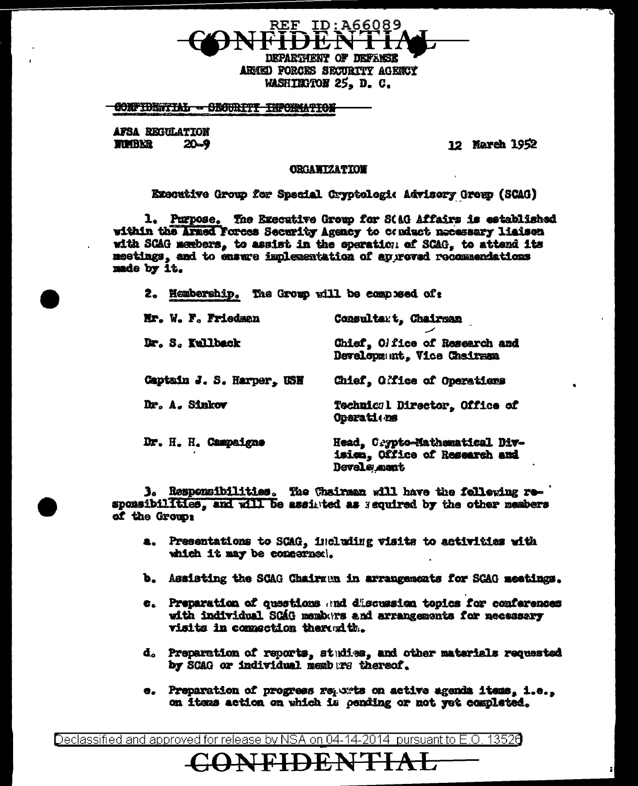REF ID:A66089 **DRPARTMRET OF BEFREE** 

ARNED FORCES SECURITY AGENCY WASHIEGTON 25. D. C.

## **CONFIDENTIAL - SECURITY INFORMATION**

AFSA REGULATION **TIMBER**  $20 - 9$ 

12 Narch 1952

## **ORGAWIZATION**

Executive Group for Special Cryptologic Advisory Group (SCAG)

1. Purpose. The Executive Group for StaG Affairs is established within the Armed Forces Security Agency to conduct necessary liaison with SCAG members, to assist in the eperation of SCAG, to attend its meetings, and to ensure implementation of auprovad recommendations made by it.

2. Hembership. The Gromp will be composed of:

| Mr. W. F. Friedman        | Consultart, Chairman                                                           |
|---------------------------|--------------------------------------------------------------------------------|
| Dr. S. Kullback           | Chief, Olfice of Research and<br>Development, Vice Chairman                    |
| Captain J. S. Harper, USN | Chief, Office of Operations                                                    |
| Dr. A. Sinkov             | Technicsl Director, Office of<br>Oparati ns                                    |
| Dr. H. H. Campaigne       | Head, Crypto-Mathematical Div-<br>isica, Office of Research and<br>Devels mant |

3. Responsibilities. The Chairman will have the following responsibilities, and will be assisted as sequired by the other members of the Group:

- a. Presentations to SCAG, including visits to activities with which it may be concerned.
- b. Assisting the SCAG Chairman in arrangements for SCAG meetings.
- c. Preparation of questions and discussion topics for conferences with individual SCAG members and arrangements for necessary visits in connection thereofth.
- d. Preparation of reports, studies, and other materials requested by SCAG or individual nembers thereof.
- e. Preparation of progress reports on active agenda items, i.e., on items action on which is pending or not yet completed.

Declassified and approved for release by NSA on 04-14-2014 pursuant to E.O. 13526

NFIDE NT